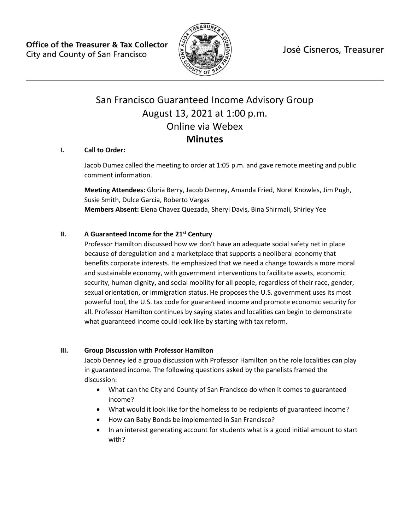José Cisneros, Treasurer

**Office of the Treasurer & Tax Collector** City and County of San Francisco



# San Francisco Guaranteed Income Advisory Group August 13, 2021 at 1:00 p.m. Online via Webex **Minutes**

## **I. Call to Order:**

Jacob Dumez called the meeting to order at 1:05 p.m. and gave remote meeting and public comment information.

**Meeting Attendees:** Gloria Berry, Jacob Denney, Amanda Fried, Norel Knowles, Jim Pugh, Susie Smith, Dulce Garcia, Roberto Vargas **Members Absent:** Elena Chavez Quezada, Sheryl Davis, Bina Shirmali, Shirley Yee

### **II. A Guaranteed Income for the 21st Century**

Professor Hamilton discussed how we don't have an adequate social safety net in place because of deregulation and a marketplace that supports a neoliberal economy that benefits corporate interests. He emphasized that we need a change towards a more moral and sustainable economy, with government interventions to facilitate assets, economic security, human dignity, and social mobility for all people, regardless of their race, gender, sexual orientation, or immigration status. He proposes the U.S. government uses its most powerful tool, the U.S. tax code for guaranteed income and promote economic security for all. Professor Hamilton continues by saying states and localities can begin to demonstrate what guaranteed income could look like by starting with tax reform.

#### **III. Group Discussion with Professor Hamilton**

Jacob Denney led a group discussion with Professor Hamilton on the role localities can play in guaranteed income. The following questions asked by the panelists framed the discussion:

- What can the City and County of San Francisco do when it comes to guaranteed income?
- What would it look like for the homeless to be recipients of guaranteed income?
- How can Baby Bonds be implemented in San Francisco?
- In an interest generating account for students what is a good initial amount to start with?